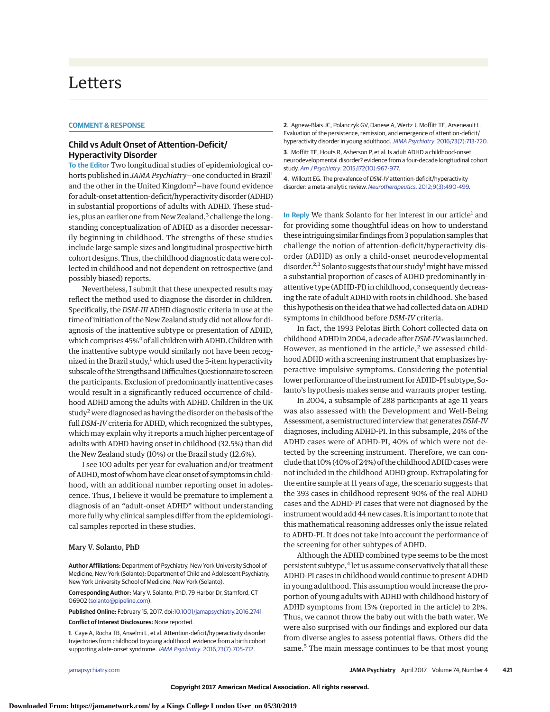# Letters

## **COMMENT & RESPONSE**

# **Child vs Adult Onset of Attention-Deficit/ Hyperactivity Disorder**

**To the Editor** Two longitudinal studies of epidemiological cohorts published in *JAMA Psychiatry*—one conducted in Brazil<sup>1</sup> and the other in the United Kingdom<sup>2</sup>–have found evidence for adult-onset attention-deficit/hyperactivity disorder (ADHD) in substantial proportions of adults with ADHD. These studies, plus an earlier one from New Zealand,<sup>3</sup> challenge the longstanding conceptualization of ADHD as a disorder necessarily beginning in childhood. The strengths of these studies include large sample sizes and longitudinal prospective birth cohort designs. Thus, the childhood diagnostic data were collected in childhood and not dependent on retrospective (and possibly biased) reports.

Nevertheless, I submit that these unexpected results may reflect the method used to diagnose the disorder in children. Specifically, the *DSM-III* ADHD diagnostic criteria in use at the time of initiation of the New Zealand study did not allow for diagnosis of the inattentive subtype or presentation of ADHD, which comprises 45%<sup>4</sup> of all children with ADHD. Children with the inattentive subtype would similarly not have been recognized in the Brazil study,<sup>1</sup> which used the 5-item hyperactivity subscale of the Strengths and Difficulties Questionnaire to screen the participants. Exclusion of predominantly inattentive cases would result in a significantly reduced occurrence of childhood ADHD among the adults with ADHD. Children in the UK study<sup>2</sup> were diagnosed as having the disorder on the basis of the full *DSM-IV* criteria for ADHD, which recognized the subtypes, which may explain why it reports a much higher percentage of adults with ADHD having onset in childhood (32.5%) than did the New Zealand study (10%) or the Brazil study (12.6%).

I see 100 adults per year for evaluation and/or treatment of ADHD, most of whom have clear onset of symptoms in childhood, with an additional number reporting onset in adolescence. Thus, I believe it would be premature to implement a diagnosis of an "adult-onset ADHD" without understanding more fully why clinical samples differ from the epidemiological samples reported in these studies.

### Mary V. Solanto, PhD

**Author Affiliations:** Department of Psychiatry, New York University School of Medicine, New York (Solanto); Department of Child and Adolescent Psychiatry, New York University School of Medicine, New York (Solanto).

**Corresponding Author:** Mary V. Solanto, PhD, 79 Harbor Dr, Stamford, CT 06902 [\(solanto@pipeline.com\)](mailto:solanto@pipeline.com).

**Published Online:** February 15, 2017. doi[:10.1001/jamapsychiatry.2016.2741](http://jama.jamanetwork.com/article.aspx?doi=10.1001/jamapsychiatry.2016.2741&utm_campaign=articlePDF%26utm_medium=articlePDFlink%26utm_source=articlePDF%26utm_content=jamapsychiatry.2016.2741) **Conflict of Interest Disclosures:** None reported.

**1**. Caye A, Rocha TB, Anselmi L, et al. Attention-deficit/hyperactivity disorder trajectories from childhood to young adulthood: evidence from a birth cohort supporting a late-onset syndrome. JAMA Psychiatry[. 2016;73\(7\):705-712.](https://www.ncbi.nlm.nih.gov/pubmed/27192050)

**2**. Agnew-Blais JC, Polanczyk GV, Danese A, Wertz J, Moffitt TE, Arseneault L. Evaluation of the persistence, remission, and emergence of attention-deficit/ hyperactivity disorder in young adulthood. JAMA Psychiatry[. 2016;73\(7\):713-720.](https://www.ncbi.nlm.nih.gov/pubmed/27192174)

**3**. Moffitt TE, Houts R, Asherson P, et al. Is adult ADHD a childhood-onset neurodevelopmental disorder? evidence from a four-decade longitudinal cohort study. Am J Psychiatry[. 2015;172\(10\):967-977.](https://www.ncbi.nlm.nih.gov/pubmed/25998281)

**4**. Willcutt EG. The prevalence of DSM-IV attention-deficit/hyperactivity disorder: a meta-analytic review. Neurotherapeutics[. 2012;9\(3\):490-499.](https://www.ncbi.nlm.nih.gov/pubmed/22976615)

**In Reply** We thank Solanto for her interest in our article<sup>1</sup> and for providing some thoughtful ideas on how to understand these intriguing similar findings from 3 population samples that challenge the notion of attention-deficit/hyperactivity disorder (ADHD) as only a child-onset neurodevelopmental disorder.<sup>2,3</sup> Solanto suggests that our study<sup>1</sup> might have missed a substantial proportion of cases of ADHD predominantly inattentive type (ADHD-PI) in childhood, consequently decreasing the rate of adult ADHD with roots in childhood. She based this hypothesis on the idea that we had collected data on ADHD symptoms in childhood before *DSM-IV* criteria.

In fact, the 1993 Pelotas Birth Cohort collected data on childhood ADHD in 2004, a decade after*DSM-IV*was launched. However, as mentioned in the article, $<sup>2</sup>$  we assessed child-</sup> hood ADHD with a screening instrument that emphasizes hyperactive-impulsive symptoms. Considering the potential lower performance of the instrument for ADHD-PI subtype, Solanto's hypothesis makes sense and warrants proper testing.

In 2004, a subsample of 288 participants at age 11 years was also assessed with the Development and Well-Being Assessment, a semistructured interview that generates*DSM-IV* diagnoses, including ADHD-PI. In this subsample, 24% of the ADHD cases were of ADHD-PI, 40% of which were not detected by the screening instrument. Therefore, we can conclude that 10% (40% of 24%) of the childhood ADHD caseswere not included in the childhood ADHD group. Extrapolating for the entire sample at 11 years of age, the scenario suggests that the 393 cases in childhood represent 90% of the real ADHD cases and the ADHD-PI cases that were not diagnosed by the instrument would add 44 new cases. It is important to note that this mathematical reasoning addresses only the issue related to ADHD-PI. It does not take into account the performance of the screening for other subtypes of ADHD.

Although the ADHD combined type seems to be the most persistent subtype,<sup>4</sup> let us assume conservatively that all these ADHD-PI cases in childhood would continue to present ADHD in young adulthood. This assumption would increase the proportion of young adults with ADHD with childhood history of ADHD symptoms from 13% (reported in the article) to 21%. Thus, we cannot throw the baby out with the bath water. We were also surprised with our findings and explored our data from diverse angles to assess potential flaws. Others did the same.<sup>5</sup> The main message continues to be that most young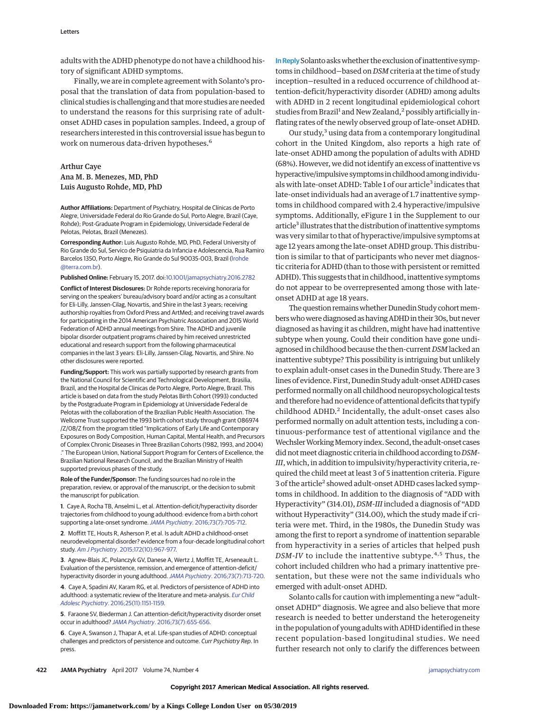adults with the ADHD phenotype do not have a childhood history of significant ADHD symptoms.

Finally, we are in complete agreement with Solanto's proposal that the translation of data from population-based to clinical studies is challenging and that more studies are needed to understand the reasons for this surprising rate of adultonset ADHD cases in population samples. Indeed, a group of researchers interested in this controversial issue has begun to work on numerous data-driven hypotheses.<sup>6</sup>

## Arthur Caye Ana M. B. Menezes, MD, PhD Luis Augusto Rohde, MD, PhD

**Author Affiliations:** Department of Psychiatry, Hospital de Clínicas de Porto Alegre, Universidade Federal do Rio Grande do Sul, Porto Alegre, Brazil (Caye, Rohde); Post-Graduate Program in Epidemiology, Universidade Federal de Pelotas, Pelotas, Brazil (Menezes).

**Corresponding Author:** Luis Augusto Rohde, MD, PhD, Federal University of Rio Grande do Sul, Servico de Psiquiatria da Infancia e Adolescencia, Rua Ramiro Barcelos 1350, Porto Alegre, Rio Grande do Sul 90035-003, Brazil [\(lrohde](mailto:lrohde@terra.com.br) [@terra.com.br\)](mailto:lrohde@terra.com.br).

#### **Published Online:** February 15, 2017. doi[:10.1001/jamapsychiatry.2016.2782](http://jama.jamanetwork.com/article.aspx?doi=10.1001/jamapsychiatry.2016.2782&utm_campaign=articlePDF%26utm_medium=articlePDFlink%26utm_source=articlePDF%26utm_content=jamapsychiatry.2016.2782)

**Conflict of Interest Disclosures:** Dr Rohde reports receiving honoraria for serving on the speakers' bureau/advisory board and/or acting as a consultant for Eli-Lilly, Janssen-Cilag, Novartis, and Shire in the last 3 years; receiving authorship royalties from Oxford Press and ArtMed; and receiving travel awards for participating in the 2014 American Psychiatric Association and 2015 World Federation of ADHD annual meetings from Shire. The ADHD and juvenile bipolar disorder outpatient programs chaired by him received unrestricted educational and research support from the following pharmaceutical companies in the last 3 years: Eli-Lilly, Janssen-Cilag, Novartis, and Shire. No other disclosures were reported.

**Funding/Support:** This work was partially supported by research grants from the National Council for Scientific and Technological Development, Brasilia, Brazil, and the Hospital de Clinicas de Porto Alegre, Porto Alegre, Brazil. This article is based on data from the study Pelotas Birth Cohort (1993) conducted by the Postgraduate Program in Epidemiology at Universidade Federal de Pelotas with the collaboration of the Brazilian Public Health Association. The Wellcome Trust supported the 1993 birth cohort study through grant 086974 /Z/08/Z from the program titled "Implications of Early Life and Contemporary Exposures on Body Composition, Human Capital, Mental Health, and Precursors of Complex Chronic Diseases in Three Brazilian Cohorts (1982, 1993, and 2004) ." The European Union, National Support Program for Centers of Excellence, the Brazilian National Research Council, and the Brazilian Ministry of Health supported previous phases of the study.

**Role of the Funder/Sponsor:** The funding sources had no role in the preparation, review, or approval of the manuscript, or the decision to submit the manuscript for publication.

**1**. Caye A, Rocha TB, Anselmi L, et al. Attention-deficit/hyperactivity disorder trajectories from childhood to young adulthood: evidence from a birth cohort supporting a late-onset syndrome. JAMA Psychiatry[. 2016;73\(7\):705-712.](https://www.ncbi.nlm.nih.gov/pubmed/27192050)

**2**. Moffitt TE, Houts R, Asherson P, et al. Is adult ADHD a childhood-onset neurodevelopmental disorder? evidence from a four-decade longitudinal cohort study. Am J Psychiatry[. 2015;172\(10\):967-977.](https://www.ncbi.nlm.nih.gov/pubmed/25998281)

**3**. Agnew-Blais JC, Polanczyk GV, Danese A, Wertz J, Moffitt TE, Arseneault L. Evaluation of the persistence, remission, and emergence of attention-deficit/ hyperactivity disorder in young adulthood. JAMA Psychiatry[. 2016;73\(7\):713-720.](https://www.ncbi.nlm.nih.gov/pubmed/27192174)

**4**. Caye A, Spadini AV, Karam RG, et al. Predictors of persistence of ADHD into adulthood: a systematic review of the literature and meta-analysis. [Eur Child](https://www.ncbi.nlm.nih.gov/pubmed/27021056) Adolesc Psychiatry[. 2016;25\(11\):1151-1159.](https://www.ncbi.nlm.nih.gov/pubmed/27021056)

**5**. Faraone SV, Biederman J. Can attention-deficit/hyperactivity disorder onset occur in adulthood? JAMA Psychiatry[. 2016;73\(7\):655-656.](https://www.ncbi.nlm.nih.gov/pubmed/27191055)

**6**. Caye A, Swanson J, Thapar A, et al. Life-span studies of ADHD: conceptual challenges and predictors of persistence and outcome. Curr Psychiatry Rep. In press.

**In Reply**Solanto askswhether the exclusion of inattentive symptoms in childhood—based on *DSM* criteria at the time of study inception—resulted in a reduced occurrence of childhood attention-deficit/hyperactivity disorder (ADHD) among adults with ADHD in 2 recent longitudinal epidemiological cohort studies from Brazil<sup>1</sup> and New Zealand,<sup>2</sup> possibly artificially inflating rates of the newly observed group of late-onset ADHD.

Our study, $3$  using data from a contemporary longitudinal cohort in the United Kingdom, also reports a high rate of late-onset ADHD among the population of adults with ADHD (68%). However, we did not identify an excess of inattentive vs hyperactive/impulsive symptoms inchildhood among individuals with late-onset ADHD: Table 1 of our article<sup>3</sup> indicates that late-onset individuals had an average of 1.7 inattentive symptoms in childhood compared with 2.4 hyperactive/impulsive symptoms. Additionally, eFigure 1 in the Supplement to our article<sup>3</sup> illustrates that the distribution of inattentive symptoms was very similar to that of hyperactive/impulsive symptoms at age 12 years among the late-onset ADHD group. This distribution is similar to that of participants who never met diagnostic criteria for ADHD (than to those with persistent or remitted ADHD). This suggests that in childhood, inattentive symptoms do not appear to be overrepresented among those with lateonset ADHD at age 18 years.

The question remains whether Dunedin Study cohort memberswhowere diagnosed as having ADHD in their 30s, but never diagnosed as having it as children, might have had inattentive subtype when young. Could their condition have gone undiagnosed in childhood because the then-current *DSM* lacked an inattentive subtype? This possibility is intriguing but unlikely to explain adult-onset cases in the Dunedin Study. There are 3 lines of evidence. First, Dunedin Study adult-onset ADHD cases performed normally on all childhood neuropsychological tests and therefore had no evidence of attentional deficits that typify childhood ADHD.<sup>2</sup> Incidentally, the adult-onset cases also performed normally on adult attention tests, including a continuous-performance test of attentional vigilance and the Wechsler Working Memory index. Second, the adult-onset cases did not meet diagnostic criteria in childhood according to *DSM*-*III*, which, in addition to impulsivity/hyperactivity criteria, required the child meet at least 3 of 5 inattention criteria. Figure 3 of the article<sup>2</sup> showed adult-onset ADHD cases lacked symptoms in childhood. In addition to the diagnosis of "ADD with Hyperactivity" (314.01), *DSM-III* included a diagnosis of "ADD without Hyperactivity" (314.00), which the study made if criteria were met. Third, in the 1980s, the Dunedin Study was among the first to report a syndrome of inattention separable from hyperactivity in a series of articles that helped push *DSM-IV* to include the inattentive subtype.<sup>4,5</sup> Thus, the cohort included children who had a primary inattentive presentation, but these were not the same individuals who emerged with adult-onset ADHD.

Solanto calls for caution with implementing a new "adultonset ADHD" diagnosis. We agree and also believe that more research is needed to better understand the heterogeneity in the population of young adults with ADHD identified in these recent population-based longitudinal studies. We need further research not only to clarify the differences between